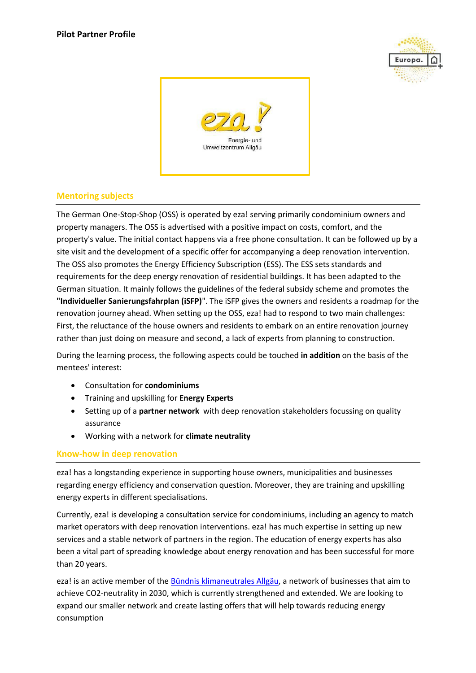



## **Mentoring subjects**

The German One-Stop-Shop (OSS) is operated by eza! serving primarily condominium owners and property managers. The OSS is advertised with a positive impact on costs, comfort, and the property's value. The initial contact happens via a free phone consultation. It can be followed up by a site visit and the development of a specific offer for accompanying a deep renovation intervention. The OSS also promotes the Energy Efficiency Subscription (ESS). The ESS sets standards and requirements for the deep energy renovation of residential buildings. It has been adapted to the German situation. It mainly follows the guidelines of the federal subsidy scheme and promotes the **"Individueller Sanierungsfahrplan (iSFP)**". The iSFP gives the owners and residents a roadmap for the renovation journey ahead. When setting up the OSS, eza! had to respond to two main challenges: First, the reluctance of the house owners and residents to embark on an entire renovation journey rather than just doing on measure and second, a lack of experts from planning to construction.

During the learning process, the following aspects could be touched **in addition** on the basis of the mentees' interest:

- Consultation for **condominiums**
- Training and upskilling for **Energy Experts**
- Setting up of a **partner network** with deep renovation stakeholders focussing on quality assurance
- Working with a network for **climate neutrality**

## **Know-how in deep renovation**

eza! has a longstanding experience in supporting house owners, municipalities and businesses regarding energy efficiency and conservation question. Moreover, they are training and upskilling energy experts in different specialisations.

Currently, eza! is developing a consultation service for condominiums, including an agency to match market operators with deep renovation interventions. eza! has much expertise in setting up new services and a stable network of partners in the region. The education of energy experts has also been a vital part of spreading knowledge about energy renovation and has been successful for more than 20 years.

eza! is an active member of th[e Bündnis klimaneutrales Allgäu,](https://buendnis-klimaneutrales-allgaeu.de/) a network of businesses that aim to achieve CO2-neutrality in 2030, which is currently strengthened and extended. We are looking to expand our smaller network and create lasting offers that will help towards reducing energy consumption